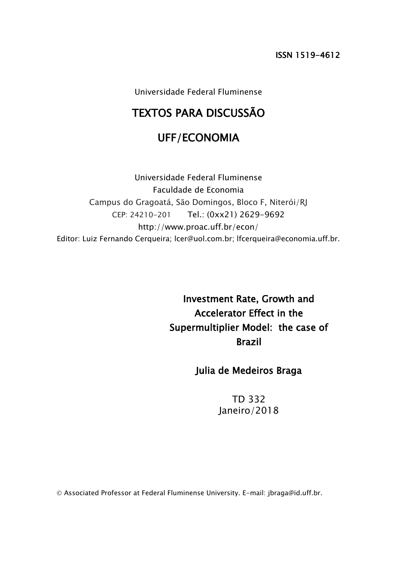ISSN 1519-4612

Universidade Federal Fluminense

# TEXTOS PARA DISCUSSÃO

## UFF/ECONOMIA

Universidade Federal Fluminense Faculdade de Economia Campus do Gragoatá, São Domingos, Bloco F, Niterói/RJ CEP: 24210-201 Tel.: (0xx21) 2629-9692 http://www.proac.uff.br/econ/ Editor: Luiz Fernando Cerqueira; lcer@uol.com.br; lfcerqueira@economia.uff.br.

> Investment Rate, Growth and Accelerator Effect in the Supermultiplier Model: the case of Brazil

## Julia de Medeiros Braga

TD 332 Janeiro/2018

Associated Professor at Federal Fluminense University. E-mail: jbraga@id.uff.br.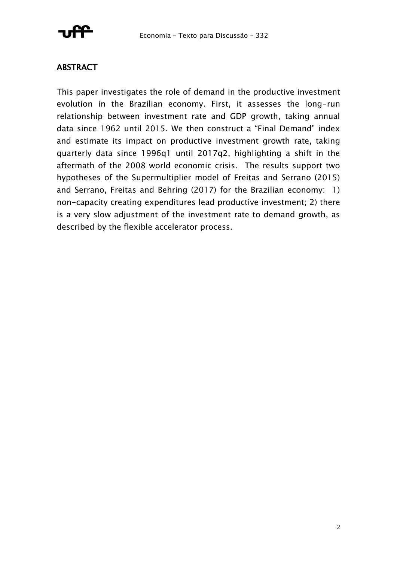

## ABSTRACT

This paper investigates the role of demand in the productive investment evolution in the Brazilian economy. First, it assesses the long-run relationship between investment rate and GDP growth, taking annual data since 1962 until 2015. We then construct a "Final Demand" index and estimate its impact on productive investment growth rate, taking quarterly data since 1996q1 until 2017q2, highlighting a shift in the aftermath of the 2008 world economic crisis. The results support two hypotheses of the Supermultiplier model of Freitas and Serrano (2015) and Serrano, Freitas and Behring (2017) for the Brazilian economy: 1) non-capacity creating expenditures lead productive investment; 2) there is a very slow adjustment of the investment rate to demand growth, as described by the flexible accelerator process.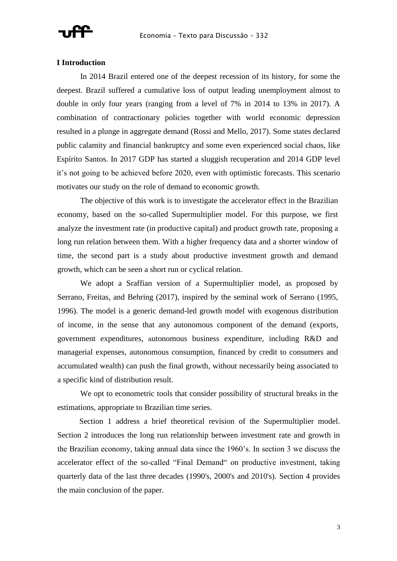

### **I Introduction**

In 2014 Brazil entered one of the deepest recession of its history, for some the deepest. Brazil suffered a cumulative loss of output leading unemployment almost to double in only four years (ranging from a level of 7% in 2014 to 13% in 2017). A combination of contractionary policies together with world economic depression resulted in a plunge in aggregate demand (Rossi and Mello, 2017). Some states declared public calamity and financial bankruptcy and some even experienced social chaos, like Espírito Santos. In 2017 GDP has started a sluggish recuperation and 2014 GDP level it's not going to be achieved before 2020, even with optimistic forecasts. This scenario motivates our study on the role of demand to economic growth.

The objective of this work is to investigate the accelerator effect in the Brazilian economy, based on the so-called Supermultiplier model. For this purpose, we first analyze the investment rate (in productive capital) and product growth rate, proposing a long run relation between them. With a higher frequency data and a shorter window of time, the second part is a study about productive investment growth and demand growth, which can be seen a short run or cyclical relation.

We adopt a Sraffian version of a Supermultiplier model, as proposed by Serrano, Freitas, and Behring (2017), inspired by the seminal work of Serrano (1995, 1996). The model is a generic demand-led growth model with exogenous distribution of income, in the sense that any autonomous component of the demand (exports, government expenditures, autonomous business expenditure, including R&D and managerial expenses, autonomous consumption, financed by credit to consumers and accumulated wealth) can push the final growth, without necessarily being associated to a specific kind of distribution result.

We opt to econometric tools that consider possibility of structural breaks in the estimations, appropriate to Brazilian time series.

Section 1 address a brief theoretical revision of the Supermultiplier model. Section 2 introduces the long run relationship between investment rate and growth in the Brazilian economy, taking annual data since the 1960's. In section 3 we discuss the accelerator effect of the so-called "Final Demand" on productive investment, taking quarterly data of the last three decades (1990's, 2000's and 2010's). Section 4 provides the main conclusion of the paper.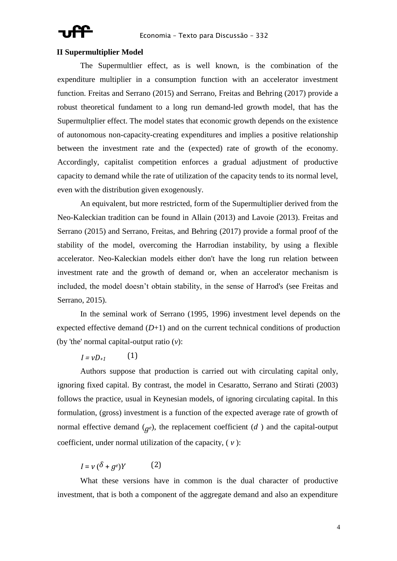

### **II Supermultiplier Model**

The Supermultlier effect, as is well known, is the combination of the expenditure multiplier in a consumption function with an accelerator investment function. Freitas and Serrano (2015) and Serrano, Freitas and Behring (2017) provide a robust theoretical fundament to a long run demand-led growth model, that has the Supermultplier effect. The model states that economic growth depends on the existence of autonomous non-capacity-creating expenditures and implies a positive relationship between the investment rate and the (expected) rate of growth of the economy. Accordingly, capitalist competition enforces a gradual adjustment of productive capacity to demand while the rate of utilization of the capacity tends to its normal level, even with the distribution given exogenously.

An equivalent, but more restricted, form of the Supermultiplier derived from the Neo-Kaleckian tradition can be found in Allain (2013) and Lavoie (2013). Freitas and Serrano (2015) and Serrano, Freitas, and Behring (2017) provide a formal proof of the stability of the model, overcoming the Harrodian instability, by using a flexible accelerator. Neo-Kaleckian models either don't have the long run relation between investment rate and the growth of demand or, when an accelerator mechanism is included, the model doesn't obtain stability, in the sense of Harrod's (see Freitas and Serrano, 2015).

In the seminal work of Serrano (1995, 1996) investment level depends on the expected effective demand  $(D+1)$  and on the current technical conditions of production (by 'the' normal capital-output ratio (*v*):

 $I = vD_{+1}$ (1)

Authors suppose that production is carried out with circulating capital only, ignoring fixed capital. By contrast, the model in Cesaratto, Serrano and Stirati (2003) follows the practice, usual in Keynesian models, of ignoring circulating capital. In this formulation, (gross) investment is a function of the expected average rate of growth of normal effective demand  $(q_e)$ , the replacement coefficient  $(d)$  and the capital-output coefficient, under normal utilization of the capacity, ( *v* ):

 $I = V(\delta + g^e)Y$  $(2)$ 

What these versions have in common is the dual character of productive investment, that is both a component of the aggregate demand and also an expenditure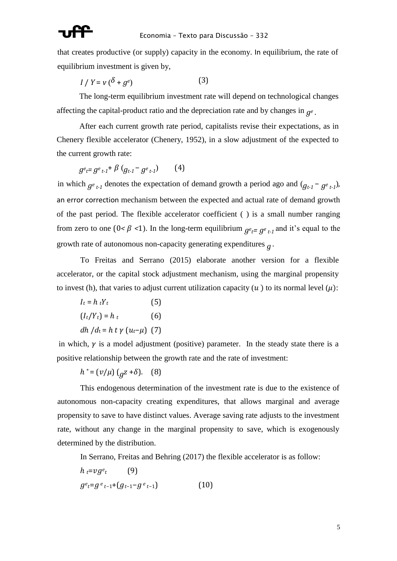

that creates productive (or supply) capacity in the economy. In equilibrium, the rate of equilibrium investment is given by,

$$
I / Y = v \left( \delta + g^e \right) \tag{3}
$$

The long-term equilibrium investment rate will depend on technological changes affecting the capital-product ratio and the depreciation rate and by changes in  $g^e$ . *.*

After each current growth rate period, capitalists revise their expectations, as in Chenery flexible accelerator (Chenery, 1952), in a slow adjustment of the expected to the current growth rate:

$$
g^{e}t = g^{e}t + 1 + \beta (g^{e}t - g^{e}t - 1)
$$
 (4)

in which  $g_{e_{t-1}}$  denotes the expectation of demand growth a period ago and  $(g_{t-1} - g_{e_{t-1}})$ , an error correction mechanism between the expected and actual rate of demand growth of the past period. The flexible accelerator coefficient ( ) is a small number ranging from zero to one ( $0 < \beta < 1$ ). In the long-term equilibrium  $g_{e_t=g_e} t_1$  and it's equal to the growth rate of autonomous non-capacity generating expenditures *g* .

To Freitas and Serrano (2015) elaborate another version for a flexible accelerator, or the capital stock adjustment mechanism, using the marginal propensity to invest (h), that varies to adjust current utilization capacity  $(u)$  to its normal level  $(u)$ :

$$
I_t = h_t Y_t
$$
 (5)  

$$
(I_t/Y_t) = h_t
$$
 (6)  

$$
dh/d_t = h t \gamma (u_t - \mu)
$$
 (7)

in which,  $\gamma$  is a model adjustment (positive) parameter. In the steady state there is a positive relationship between the growth rate and the rate of investment:

 $h^* = (v/\mu) (q^2 + \delta)$ . (8)

This endogenous determination of the investment rate is due to the existence of autonomous non-capacity creating expenditures, that allows marginal and average propensity to save to have distinct values. Average saving rate adjusts to the investment rate, without any change in the marginal propensity to save, which is exogenously determined by the distribution.

In Serrano, Freitas and Behring (2017) the flexible accelerator is as follow:

$$
h_{t}=vg^{e}t \qquad (9)
$$
  

$$
g^{e}t=g^{e}t-1}+(g_{t-1}-g^{e}t-1) \qquad (10)
$$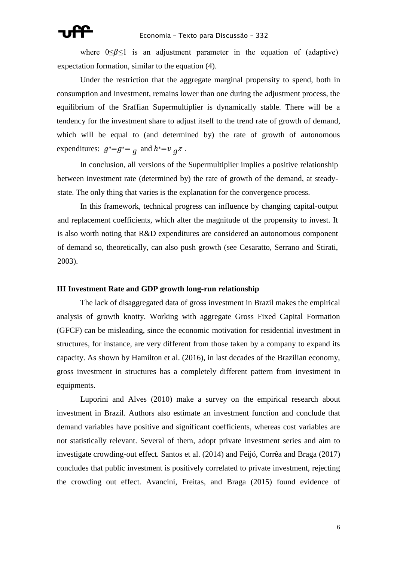where  $0 \le \beta \le 1$  is an adjustment parameter in the equation of (adaptive) expectation formation, similar to the equation (4).

Under the restriction that the aggregate marginal propensity to spend, both in consumption and investment, remains lower than one during the adjustment process, the equilibrium of the Sraffian Supermultiplier is dynamically stable. There will be a tendency for the investment share to adjust itself to the trend rate of growth of demand, which will be equal to (and determined by) the rate of growth of autonomous expenditures:  $g^e = g^* = g$  and  $h^* = v_g z$ .

In conclusion, all versions of the Supermultiplier implies a positive relationship between investment rate (determined by) the rate of growth of the demand, at steadystate. The only thing that varies is the explanation for the convergence process.

In this framework, technical progress can influence by changing capital-output and replacement coefficients, which alter the magnitude of the propensity to invest. It is also worth noting that R&D expenditures are considered an autonomous component of demand so, theoretically, can also push growth (see Cesaratto, Serrano and Stirati, 2003).

### **III Investment Rate and GDP growth long-run relationship**

The lack of disaggregated data of gross investment in Brazil makes the empirical analysis of growth knotty. Working with aggregate Gross Fixed Capital Formation (GFCF) can be misleading, since the economic motivation for residential investment in structures, for instance, are very different from those taken by a company to expand its capacity. As shown by Hamilton et al. (2016), in last decades of the Brazilian economy, gross investment in structures has a completely different pattern from investment in equipments.

Luporini and Alves (2010) make a survey on the empirical research about investment in Brazil. Authors also estimate an investment function and conclude that demand variables have positive and significant coefficients, whereas cost variables are not statistically relevant. Several of them, adopt private investment series and aim to investigate crowding-out effect. Santos et al. (2014) and Feijó, Corrêa and Braga (2017) concludes that public investment is positively correlated to private investment, rejecting the crowding out effect. Avancini, Freitas, and Braga (2015) found evidence of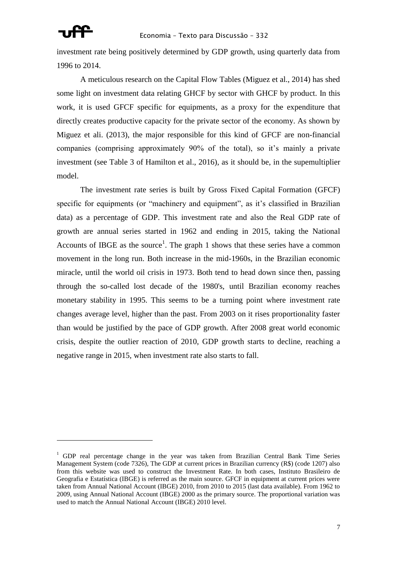

<u>.</u>

investment rate being positively determined by GDP growth, using quarterly data from 1996 to 2014.

A meticulous research on the Capital Flow Tables (Miguez et al., 2014) has shed some light on investment data relating GHCF by sector with GHCF by product. In this work, it is used GFCF specific for equipments, as a proxy for the expenditure that directly creates productive capacity for the private sector of the economy. As shown by Miguez et ali. (2013), the major responsible for this kind of GFCF are non-financial companies (comprising approximately 90% of the total), so it's mainly a private investment (see Table 3 of Hamilton et al., 2016), as it should be, in the supemultiplier model.

The investment rate series is built by Gross Fixed Capital Formation (GFCF) specific for equipments (or "machinery and equipment", as it's classified in Brazilian data) as a percentage of GDP. This investment rate and also the Real GDP rate of growth are annual series started in 1962 and ending in 2015, taking the National Accounts of IBGE as the source<sup>1</sup>. The graph 1 shows that these series have a common movement in the long run. Both increase in the mid-1960s, in the Brazilian economic miracle, until the world oil crisis in 1973. Both tend to head down since then, passing through the so-called lost decade of the 1980's, until Brazilian economy reaches monetary stability in 1995. This seems to be a turning point where investment rate changes average level, higher than the past. From 2003 on it rises proportionality faster than would be justified by the pace of GDP growth. After 2008 great world economic crisis, despite the outlier reaction of 2010, GDP growth starts to decline, reaching a negative range in 2015, when investment rate also starts to fall.

<sup>&</sup>lt;sup>1</sup> GDP real percentage change in the year was taken from Brazilian Central Bank Time Series Management System (code 7326), The GDP at current prices in Brazilian currency (R\$) (code 1207) also from this website was used to construct the Investment Rate. In both cases, Instituto Brasileiro de Geografia e Estatística (IBGE) is referred as the main source. GFCF in equipment at current prices were taken from Annual National Account (IBGE) 2010, from 2010 to 2015 (last data available). From 1962 to 2009, using Annual National Account (IBGE) 2000 as the primary source. The proportional variation was used to match the Annual National Account (IBGE) 2010 level.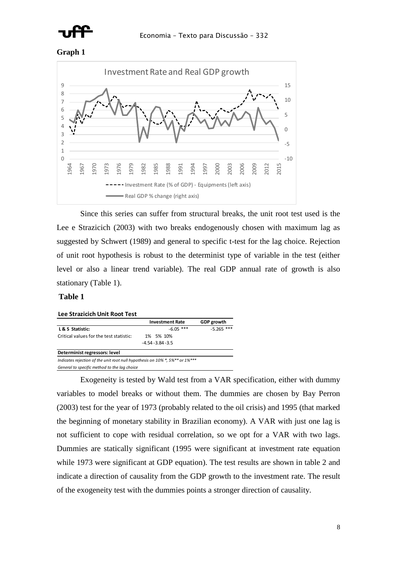





Since this series can suffer from structural breaks, the unit root test used is the Lee e Strazicich (2003) with two breaks endogenously chosen with maximum lag as suggested by Schwert (1989) and general to specific t-test for the lag choice. Rejection of unit root hypothesis is robust to the determinist type of variable in the test (either level or also a linear trend variable). The real GDP annual rate of growth is also stationary (Table 1).

### **Table 1**

### **Lee Strazicich Unit Root Test**

|                                                                              | <b>Investment Rate</b> | <b>GDP</b> growth |
|------------------------------------------------------------------------------|------------------------|-------------------|
| L & S Statistic:                                                             | $-6.05$ ***            | $-5.265$ ***      |
| Critical values for the test statistic:                                      | 1% 5% 10%              |                   |
|                                                                              | $-4.54 - 3.84 - 3.5$   |                   |
| Determinist regressors: level                                                |                        |                   |
| Indicates rejection of the unit root null hypothesis on 10% *, 5%** or 1%*** |                        |                   |
| General to specific method to the lag choice                                 |                        |                   |

Exogeneity is tested by Wald test from a VAR specification, either with dummy variables to model breaks or without them. The dummies are chosen by Bay Perron (2003) test for the year of 1973 (probably related to the oil crisis) and 1995 (that marked the beginning of monetary stability in Brazilian economy). A VAR with just one lag is not sufficient to cope with residual correlation, so we opt for a VAR with two lags. Dummies are statically significant (1995 were significant at investment rate equation while 1973 were significant at GDP equation). The test results are shown in table 2 and indicate a direction of causality from the GDP growth to the investment rate. The result of the exogeneity test with the dummies points a stronger direction of causality.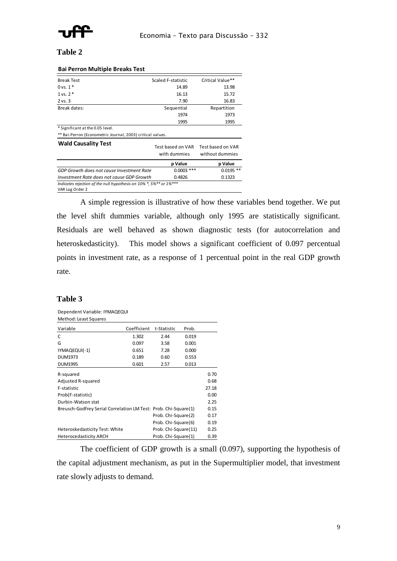

### **Table 2**

| <b>Dai I CHOILIVIAILIPIC DI CARS TCSL</b>                                             |                                   |                                      |
|---------------------------------------------------------------------------------------|-----------------------------------|--------------------------------------|
| <b>Break Test</b>                                                                     | Scaled F-statistic                | Critical Value**                     |
| $0 \text{ vs. } 1*$                                                                   | 14.89                             | 13.98                                |
| $1 \text{ vs. } 2^*$                                                                  | 16.13                             | 15.72                                |
| $2$ vs. $3$                                                                           | 7.90                              | 16.83                                |
| Break dates:                                                                          | Sequential                        | Repartition                          |
|                                                                                       | 1974                              | 1973                                 |
|                                                                                       | 1995                              | 1995                                 |
| * Significant at the 0.05 level.                                                      |                                   |                                      |
| ** Bai-Perron (Econometric Journal, 2003) critical values.                            |                                   |                                      |
| <b>Wald Causality Test</b>                                                            | Test based on VAR<br>with dummies | Test based on VAR<br>without dummies |
|                                                                                       | p Value                           | p Value                              |
| GDP Growth does not cause Investment Rate                                             | $0.0003$ ***                      | $0.0195$ **                          |
| Investment Rate does not cause GDP Growth                                             | 0.4826                            | 0.1323                               |
| Indicates rejection of the null hypothesis on 10% *, 5%** or 1%***<br>VAR Lag Order 2 |                                   |                                      |

### **Bai Perron Multiple Breaks Test**

A simple regression is illustrative of how these variables bend together. We put the level shift dummies variable, although only 1995 are statistically significant. Residuals are well behaved as shown diagnostic tests (for autocorrelation and heteroskedasticity). This model shows a significant coefficient of 0.097 percentual points in investment rate, as a response of 1 percentual point in the real GDP growth rate.

### **Table 3**

Dependent Variable: IYMAQEQUI Method: Least Squares

| Variable                                                        | Coefficient | t-Statistic          | Prob. |       |
|-----------------------------------------------------------------|-------------|----------------------|-------|-------|
| C                                                               | 1.302       | 2.44                 | 0.019 |       |
| G                                                               | 0.097       | 3.58                 | 0.001 |       |
| IYMAQEQUI(-1)                                                   | 0.651       | 7.28                 | 0.000 |       |
| <b>DUM1973</b>                                                  | 0.189       | 0.60                 | 0.553 |       |
| <b>DUM1995</b>                                                  | 0.601       | 2.57                 | 0.013 |       |
| R-squared                                                       |             |                      |       | 0.70  |
| Adjusted R-squared                                              |             |                      |       | 0.68  |
| F-statistic                                                     |             |                      |       | 27.18 |
| Prob(F-statistic)                                               |             |                      |       | 0.00  |
| Durbin-Watson stat                                              |             |                      |       | 2.25  |
| Breusch-Godfrey Serial Correlation LM Test: Prob. Chi-Square(1) |             |                      |       | 0.15  |
|                                                                 |             | Prob. Chi-Square(2)  |       | 0.17  |
|                                                                 |             | Prob. Chi-Square(6)  |       | 0.19  |
| Heteroskedasticity Test: White                                  |             | Prob. Chi-Square(11) |       | 0.25  |
| <b>Heterocedasticity ARCH</b>                                   |             | Prob. Chi-Square(1)  |       | 0.39  |

The coefficient of GDP growth is a small (0.097), supporting the hypothesis of the capital adjustment mechanism, as put in the Supermultiplier model, that investment rate slowly adjusts to demand.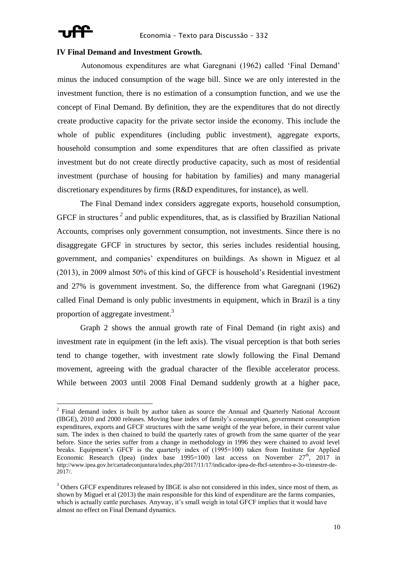<u>.</u>

### **IV Final Demand and Investment Growth.**

Autonomous expenditures are what Garegnani (1962) called 'Final Demand' minus the induced consumption of the wage bill. Since we are only interested in the investment function, there is no estimation of a consumption function, and we use the concept of Final Demand. By definition, they are the expenditures that do not directly create productive capacity for the private sector inside the economy. This include the whole of public expenditures (including public investment), aggregate exports, household consumption and some expenditures that are often classified as private investment but do not create directly productive capacity, such as most of residential investment (purchase of housing for habitation by families) and many managerial discretionary expenditures by firms (R&D expenditures, for instance), as well.

The Final Demand index considers aggregate exports, household consumption, GFCF in structures<sup>2</sup> and public expenditures, that, as is classified by Brazilian National Accounts, comprises only government consumption, not investments. Since there is no disaggregate GFCF in structures by sector, this series includes residential housing, government, and companies' expenditures on buildings. As shown in Miguez et al (2013), in 2009 almost 50% of this kind of GFCF is household's Residential investment and 27% is government investment. So, the difference from what Garegnani (1962) called Final Demand is only public investments in equipment, which in Brazil is a tiny proportion of aggregate investment.<sup>3</sup>

Graph 2 shows the annual growth rate of Final Demand (in right axis) and investment rate in equipment (in the left axis). The visual perception is that both series tend to change together, with investment rate slowly following the Final Demand movement, agreeing with the gradual character of the flexible accelerator process. While between 2003 until 2008 Final Demand suddenly growth at a higher pace,

<sup>&</sup>lt;sup>2</sup> Final demand index is built by author taken as source the Annual and Quarterly National Account (IBGE), 2010 and 2000 releases. Moving base index of family's consumption, government consumption expenditures, exports and GFCF structures with the same weight of the year before, in their current value sum. The index is then chained to build the quarterly rates of growth from the same quarter of the year before. Since the series suffer from a change in methodology in 1996 they were chained to avoid level breaks. Equipment's GFCF is the quarterly index of (1995=100) taken from Institute for Applied Economic Research (Ipea) (index base 1995=100) last access on November  $27<sup>th</sup>$ ,  $2017$  in http://www.ipea.gov.br/cartadeconjuntura/index.php/2017/11/17/indicador-ipea-de-fbcf-setembro-e-3o-trimestre-de-2017/.

 $3$  Others GFCF expenditures released by IBGE is also not considered in this index, since most of them, as shown by Miguel et al (2013) the main responsible for this kind of expenditure are the farms companies, which is actually cattle purchases. Anyway, it's small weigh in total GFCF implies that it would have almost no effect on Final Demand dynamics.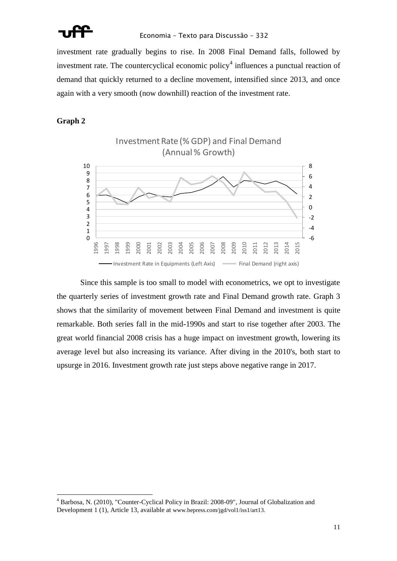

investment rate gradually begins to rise. In 2008 Final Demand falls, followed by investment rate. The countercyclical economic policy<sup>4</sup> influences a punctual reaction of demand that quickly returned to a decline movement, intensified since 2013, and once again with a very smooth (now downhill) reaction of the investment rate.

**Graph 2**

<u>.</u>



Since this sample is too small to model with econometrics, we opt to investigate the quarterly series of investment growth rate and Final Demand growth rate. Graph 3 shows that the similarity of movement between Final Demand and investment is quite remarkable. Both series fall in the mid-1990s and start to rise together after 2003. The great world financial 2008 crisis has a huge impact on investment growth, lowering its average level but also increasing its variance. After diving in the 2010's, both start to upsurge in 2016. Investment growth rate just steps above negative range in 2017.

 Barbosa, N. (2010), "Counter-Cyclical Policy in Brazil: 2008-09", Journal of Globalization and Development 1 (1), Article 13, available at [www.bepress.com/jgd/vol1/iss1/art13.](http://www.bepress.com/jgd/vol1/iss1/art13)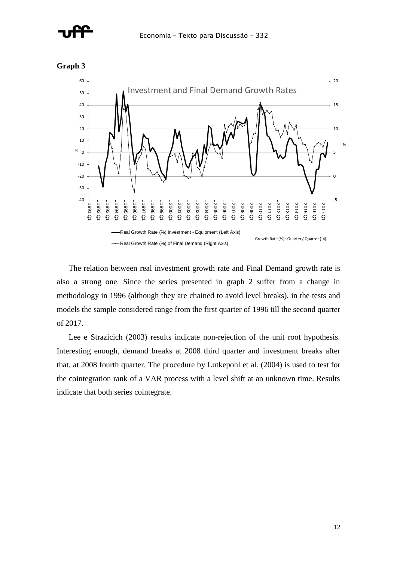



**Graph 3**

The relation between real investment growth rate and Final Demand growth rate is also a strong one. Since the series presented in graph 2 suffer from a change in methodology in 1996 (although they are chained to avoid level breaks), in the tests and models the sample considered range from the first quarter of 1996 till the second quarter of 2017.

Lee e Strazicich (2003) results indicate non-rejection of the unit root hypothesis. Interesting enough, demand breaks at 2008 third quarter and investment breaks after that, at 2008 fourth quarter. The procedure by Lutkepohl et al. (2004) is used to test for the cointegration rank of a VAR process with a level shift at an unknown time. Results indicate that both series cointegrate.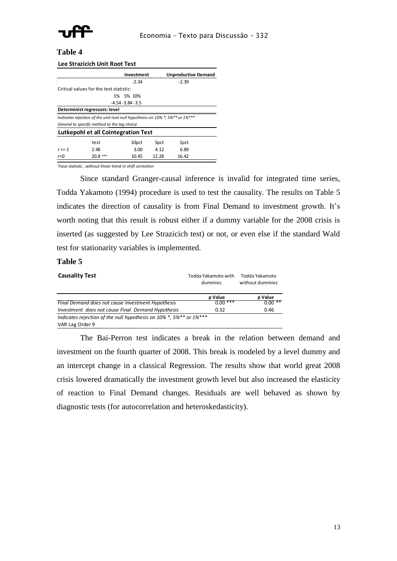

### **Table 4**

### **Lee Strazicich Unit Root Test**

|                                                                              |                                         | Investment           |       | <b>Unproductive Demand</b> |  |
|------------------------------------------------------------------------------|-----------------------------------------|----------------------|-------|----------------------------|--|
|                                                                              |                                         | $-2.34$              |       | $-2.39$                    |  |
|                                                                              | Critical values for the test statistic: |                      |       |                            |  |
|                                                                              |                                         | 1% 5% 10%            |       |                            |  |
|                                                                              |                                         | $-4.54 - 3.84 - 3.5$ |       |                            |  |
|                                                                              | Determinist regressors: level           |                      |       |                            |  |
| Indicates rejection of the unit root null hypothesis on 10% *, 5%** or 1%*** |                                         |                      |       |                            |  |
| General to specific method to the lag choice                                 |                                         |                      |       |                            |  |
| Lutkepohl et all Cointegration Test                                          |                                         |                      |       |                            |  |
|                                                                              | test                                    | 10pct                | 5pct  | 1 <sub>pct</sub>           |  |
| $r \leq 1$                                                                   | 2.48                                    | 3.00                 | 4.12  | 6.89                       |  |
| r=0                                                                          | $20.8***$                               | 10.45                | 12.28 | 16.42                      |  |

*Trace statistic , without linear trend in shift correction*

Since standard Granger-causal inference is invalid for integrated time series, Todda Yakamoto (1994) procedure is used to test the causality. The results on Table 5 indicates the direction of causality is from Final Demand to investment growth. It's worth noting that this result is robust either if a dummy variable for the 2008 crisis is inserted (as suggested by Lee Strazicich test) or not, or even else if the standard Wald test for stationarity variables is implemented.

### **Table 5**

| <b>Causality Test</b>                                              | Todda Yakamoto with<br>dummies | Todda Yakamoto<br>without dummies |
|--------------------------------------------------------------------|--------------------------------|-----------------------------------|
|                                                                    | p Value                        | p Value                           |
| Final Demand does not cause Investment Hypothesis                  | $0.00***$                      | $0.00**$                          |
| Investment does not cause Final Demand Hypothesis                  | 0.32                           | 0.46                              |
| Indicates rejection of the null hypothesis on 10% *, 5%** or 1%*** |                                |                                   |
| VAR Lag Order 9                                                    |                                |                                   |

The Bai-Perron test indicates a break in the relation between demand and investment on the fourth quarter of 2008. This break is modeled by a level dummy and an intercept change in a classical Regression. The results show that world great 2008 crisis lowered dramatically the investment growth level but also increased the elasticity of reaction to Final Demand changes. Residuals are well behaved as shown by diagnostic tests (for autocorrelation and heteroskedasticity).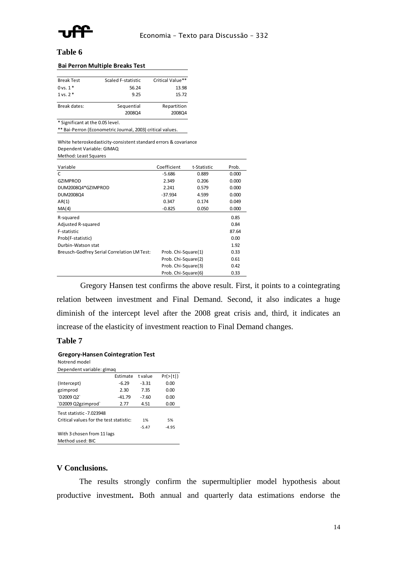

### **Table 6**

| <b>Break Test</b>                | Scaled F-statistic | Critical Value** |
|----------------------------------|--------------------|------------------|
| $0$ vs. $1*$                     | 56.24              | 13.98            |
| $1$ vs. $2*$                     | 9.25               | 15.72            |
| Break dates:                     | Sequential         | Repartition      |
|                                  | 2008Q4             | 2008Q4           |
| * Significant at the 0.05 level. |                    |                  |
|                                  |                    |                  |

\*\* Bai-Perron (Econometric Journal, 2003) critical values.

White heteroskedasticity-consistent standard errors & covariance Dependent Variable: GIMAQ Mothod: Loast S

| Method: Least Squares |  |  |
|-----------------------|--|--|
|                       |  |  |

| Variable                                           | Coefficient         | t-Statistic | Prob. |
|----------------------------------------------------|---------------------|-------------|-------|
| C                                                  | $-5.686$            | 0.889       | 0.000 |
| <b>GZIMPROD</b>                                    | 2.349               | 0.206       | 0.000 |
| DUM2008Q4*GZIMPROD                                 | 2.241               | 0.579       | 0.000 |
| DUM2008Q4                                          | $-37.934$           | 4.599       | 0.000 |
| AR(1)                                              | 0.347               | 0.174       | 0.049 |
| MA(4)                                              | $-0.825$            | 0.050       | 0.000 |
| R-squared                                          |                     |             | 0.85  |
| Adjusted R-squared                                 |                     |             | 0.84  |
| F-statistic                                        |                     |             | 87.64 |
| Prob(F-statistic)                                  |                     |             | 0.00  |
| Durbin-Watson stat                                 |                     |             | 1.92  |
| <b>Breusch-Godfrey Serial Correlation LM Test:</b> | Prob. Chi-Square(1) |             | 0.33  |
|                                                    | Prob. Chi-Square(2) |             | 0.61  |
|                                                    | Prob. Chi-Square(3) |             | 0.42  |
|                                                    | Prob. Chi-Square(6) |             | 0.33  |
|                                                    |                     |             |       |

Gregory Hansen test confirms the above result. First, it points to a cointegrating relation between investment and Final Demand. Second, it also indicates a huge diminish of the intercept level after the 2008 great crisis and, third, it indicates an increase of the elasticity of investment reaction to Final Demand changes.

### **Table 7**

### **Gregory-Hansen Cointegration Test**  Notrend model

| <u>ivulienu inuuei</u>                  |          |         |           |
|-----------------------------------------|----------|---------|-----------|
| Dependent variable: glmag               |          |         |           |
|                                         | Estimate | t value | Pr(>  t ) |
| (Intercept)                             | $-6.29$  | $-3.31$ | 0.00      |
| gzimprod                                | 2.30     | 7.35    | 0.00      |
| `D2009 Q2`                              | $-41.79$ | $-7.60$ | 0.00      |
| `D2009 Q2gzimprod`                      | 2.77     | 4.51    | 0.00      |
| Test statistic -7.023948                |          |         |           |
| Critical values for the test statistic: |          | 1%      | 5%        |
|                                         |          | $-5.47$ | $-4.95$   |
| With 3 chosen from 11 lags              |          |         |           |
| Method used: BIC                        |          |         |           |

### **V Conclusions.**

The results strongly confirm the supermultiplier model hypothesis about productive investment**.** Both annual and quarterly data estimations endorse the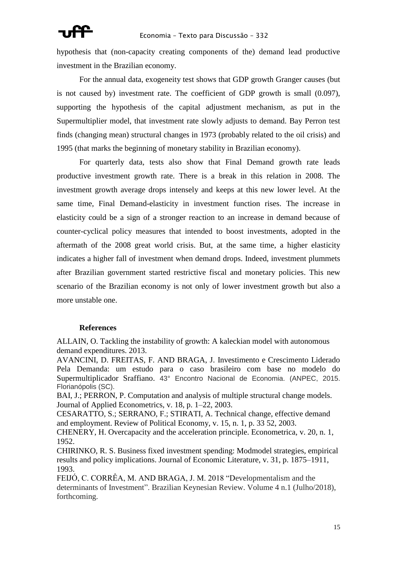hypothesis that (non-capacity creating components of the) demand lead productive investment in the Brazilian economy.

For the annual data, exogeneity test shows that GDP growth Granger causes (but is not caused by) investment rate. The coefficient of GDP growth is small (0.097), supporting the hypothesis of the capital adjustment mechanism, as put in the Supermultiplier model, that investment rate slowly adjusts to demand. Bay Perron test finds (changing mean) structural changes in 1973 (probably related to the oil crisis) and 1995 (that marks the beginning of monetary stability in Brazilian economy).

For quarterly data, tests also show that Final Demand growth rate leads productive investment growth rate. There is a break in this relation in 2008. The investment growth average drops intensely and keeps at this new lower level. At the same time, Final Demand-elasticity in investment function rises. The increase in elasticity could be a sign of a stronger reaction to an increase in demand because of counter-cyclical policy measures that intended to boost investments, adopted in the aftermath of the 2008 great world crisis. But, at the same time, a higher elasticity indicates a higher fall of investment when demand drops. Indeed, investment plummets after Brazilian government started restrictive fiscal and monetary policies. This new scenario of the Brazilian economy is not only of lower investment growth but also a more unstable one.

## **References**

ALLAIN, O. Tackling the instability of growth: A kaleckian model with autonomous demand expenditures. 2013.

AVANCINI, D. FREITAS, F. AND BRAGA, J. Investimento e Crescimento Liderado Pela Demanda: um estudo para o caso brasileiro com base no modelo do Supermultiplicador Sraffiano. 43° Encontro Nacional de Economia. (ANPEC, 2015. Florianópolis (SC).

BAI, J.; PERRON, P. Computation and analysis of multiple structural change models. Journal of Applied Econometrics, v. 18, p. 1–22, 2003.

CESARATTO, S.; SERRANO, F.; STIRATI, A. Technical change, effective demand and employment. Review of Political Economy, v. 15, n. 1, p. 33 52, 2003.

CHENERY, H. Overcapacity and the acceleration principle. Econometrica, v. 20, n. 1, 1952.

CHIRINKO, R. S. Business fixed investment spending: Modmodel strategies, empirical results and policy implications. Journal of Economic Literature, v. 31, p. 1875–1911, 1993.

FEIJÓ, C. CORRÊA, M. AND BRAGA, J. M. 2018 "Developmentalism and the determinants of Investment". Brazilian Keynesian Review. Volume 4 n.1 (Julho/2018), forthcoming.